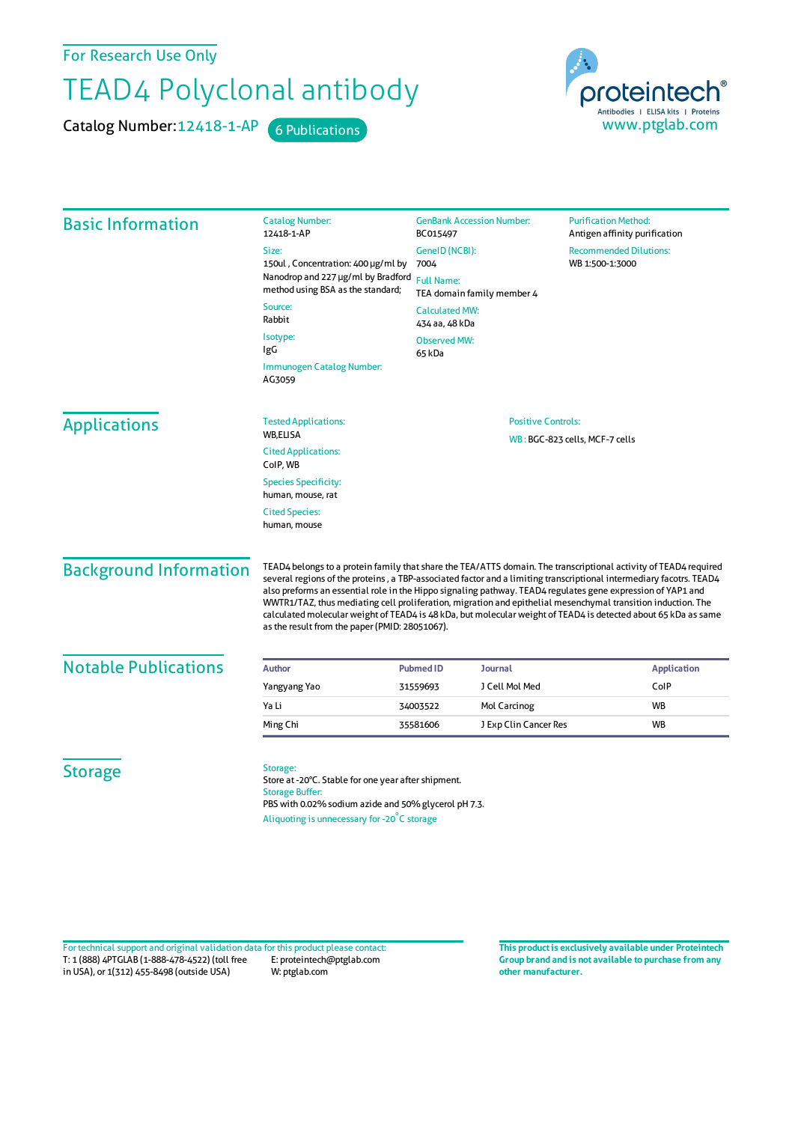For Research Use Only

## TEAD4 Polyclonal antibody

Catalog Number: 12418-1-AP 6 Publications



| <b>Basic Information</b>      | <b>Catalog Number:</b><br>12418-1-AP                                                                                                                                                                                                                                                                                                                                                                                                                                                                                                                                                                                                       | <b>GenBank Accession Number:</b><br>BC015497                | <b>Purification Method:</b><br>Antigen affinity purification |  |
|-------------------------------|--------------------------------------------------------------------------------------------------------------------------------------------------------------------------------------------------------------------------------------------------------------------------------------------------------------------------------------------------------------------------------------------------------------------------------------------------------------------------------------------------------------------------------------------------------------------------------------------------------------------------------------------|-------------------------------------------------------------|--------------------------------------------------------------|--|
|                               | Size:                                                                                                                                                                                                                                                                                                                                                                                                                                                                                                                                                                                                                                      | GeneID (NCBI):                                              | <b>Recommended Dilutions:</b>                                |  |
|                               | 150ul, Concentration: 400 µg/ml by                                                                                                                                                                                                                                                                                                                                                                                                                                                                                                                                                                                                         | 7004                                                        | WB 1:500-1:3000                                              |  |
|                               | Nanodrop and 227 µg/ml by Bradford<br>method using BSA as the standard;                                                                                                                                                                                                                                                                                                                                                                                                                                                                                                                                                                    | <b>Full Name:</b><br>TEA domain family member 4             |                                                              |  |
|                               | Source:<br>Rabbit                                                                                                                                                                                                                                                                                                                                                                                                                                                                                                                                                                                                                          | <b>Calculated MW:</b><br>434 aa, 48 kDa                     |                                                              |  |
|                               | Isotype:<br>IgG                                                                                                                                                                                                                                                                                                                                                                                                                                                                                                                                                                                                                            | <b>Observed MW:</b><br>65 kDa                               |                                                              |  |
|                               | Immunogen Catalog Number:<br>AG3059                                                                                                                                                                                                                                                                                                                                                                                                                                                                                                                                                                                                        |                                                             |                                                              |  |
| <b>Applications</b>           | <b>Tested Applications:</b>                                                                                                                                                                                                                                                                                                                                                                                                                                                                                                                                                                                                                | <b>Positive Controls:</b><br>WB: BGC-823 cells, MCF-7 cells |                                                              |  |
|                               | WB,ELISA                                                                                                                                                                                                                                                                                                                                                                                                                                                                                                                                                                                                                                   |                                                             |                                                              |  |
|                               | <b>Cited Applications:</b><br>ColP, WB                                                                                                                                                                                                                                                                                                                                                                                                                                                                                                                                                                                                     |                                                             |                                                              |  |
|                               | <b>Species Specificity:</b><br>human, mouse, rat                                                                                                                                                                                                                                                                                                                                                                                                                                                                                                                                                                                           |                                                             |                                                              |  |
|                               | <b>Cited Species:</b><br>human, mouse                                                                                                                                                                                                                                                                                                                                                                                                                                                                                                                                                                                                      |                                                             |                                                              |  |
| <b>Background Information</b> | TEAD4 belongs to a protein family that share the TEA/ATTS domain. The transcriptional activity of TEAD4 required<br>several regions of the proteins, a TBP-associated factor and a limiting transcriptional intermediary facotrs. TEAD4<br>also preforms an essential role in the Hippo signaling pathway. TEAD4 regulates gene expression of YAP1 and<br>WWTR1/TAZ, thus mediating cell proliferation, migration and epithelial mesenchymal transition induction. The<br>calculated molecular weight of TEAD4 is 48 kDa, but molecular weight of TEAD4 is detected about 65 kDa as same<br>as the result from the paper (PMID: 28051067). |                                                             |                                                              |  |
| <b>Notable Publications</b>   | <b>Author</b>                                                                                                                                                                                                                                                                                                                                                                                                                                                                                                                                                                                                                              | <b>Journal</b><br><b>Pubmed ID</b>                          | <b>Application</b>                                           |  |
|                               | Yangyang Yao                                                                                                                                                                                                                                                                                                                                                                                                                                                                                                                                                                                                                               | J Cell Mol Med<br>31559693                                  | ColP                                                         |  |
|                               | Ya Li                                                                                                                                                                                                                                                                                                                                                                                                                                                                                                                                                                                                                                      | 34003522<br>Mol Carcinog                                    | WB                                                           |  |
|                               | Ming Chi                                                                                                                                                                                                                                                                                                                                                                                                                                                                                                                                                                                                                                   | 35581606<br>J Exp Clin Cancer Res                           | WB                                                           |  |
| <b>Storage</b>                | Storage:<br>Store at -20°C. Stable for one year after shipment.<br><b>Storage Buffer:</b><br>PBS with 0.02% sodium azide and 50% glycerol pH 7.3.<br>Aliquoting is unnecessary for -20°C storage                                                                                                                                                                                                                                                                                                                                                                                                                                           |                                                             |                                                              |  |

T: 1 (888) 4PTGLAB (1-888-478-4522) (toll free in USA), or 1(312) 455-8498 (outside USA) E: proteintech@ptglab.com W: ptglab.com Fortechnical support and original validation data forthis product please contact: **This productis exclusively available under Proteintech**

**Group brand and is not available to purchase from any other manufacturer.**